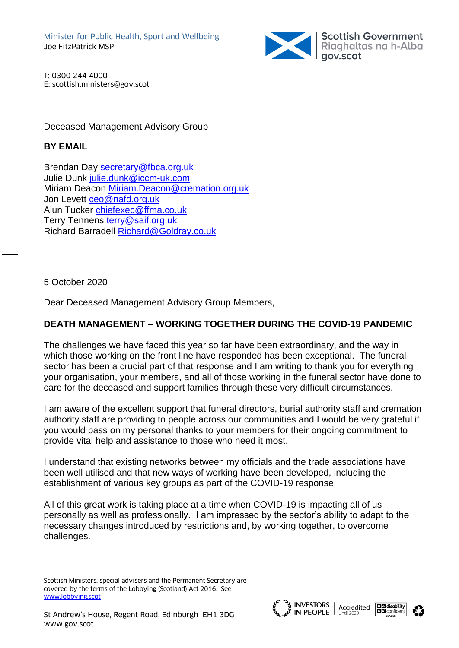

T: 0300 244 4000 E: scottish.ministers@gov.scot

Deceased Management Advisory Group

## **BY EMAIL**

Brendan Day [secretary@fbca.org.uk](mailto:secretary@fbca.org.uk) Julie Dunk [julie.dunk@iccm-uk.com](mailto:julie.dunk@iccm-uk.com) Miriam Deacon [Miriam.Deacon@cremation.org.uk](mailto:Miriam.Deacon@cremation.org.uk) Jon Levett [ceo@nafd.org.uk](mailto:ceo@nafd.org.uk) Alun Tucker [chiefexec@ffma.co.uk](mailto:chiefexec@ffma.co.uk) Terry Tennens [terry@saif.org.uk](mailto:terry@saif.org.uk) Richard Barradell [Richard@Goldray.co.uk](mailto:Richard@Goldray.co.uk)

5 October 2020

 $\overline{\phantom{a}}$ 

Dear Deceased Management Advisory Group Members,

## **DEATH MANAGEMENT – WORKING TOGETHER DURING THE COVID-19 PANDEMIC**

The challenges we have faced this year so far have been extraordinary, and the way in which those working on the front line have responded has been exceptional. The funeral sector has been a crucial part of that response and I am writing to thank you for everything your organisation, your members, and all of those working in the funeral sector have done to care for the deceased and support families through these very difficult circumstances.

I am aware of the excellent support that funeral directors, burial authority staff and cremation authority staff are providing to people across our communities and I would be very grateful if you would pass on my personal thanks to your members for their ongoing commitment to provide vital help and assistance to those who need it most.

I understand that existing networks between my officials and the trade associations have been well utilised and that new ways of working have been developed, including the establishment of various key groups as part of the COVID-19 response.

All of this great work is taking place at a time when COVID-19 is impacting all of us personally as well as professionally. I am impressed by the sector's ability to adapt to the necessary changes introduced by restrictions and, by working together, to overcome challenges.

Scottish Ministers, special advisers and the Permanent Secretary are covered by the terms of the Lobbying (Scotland) Act 2016. See [www.lobbying.scot](http://www.lobbying.scot/)